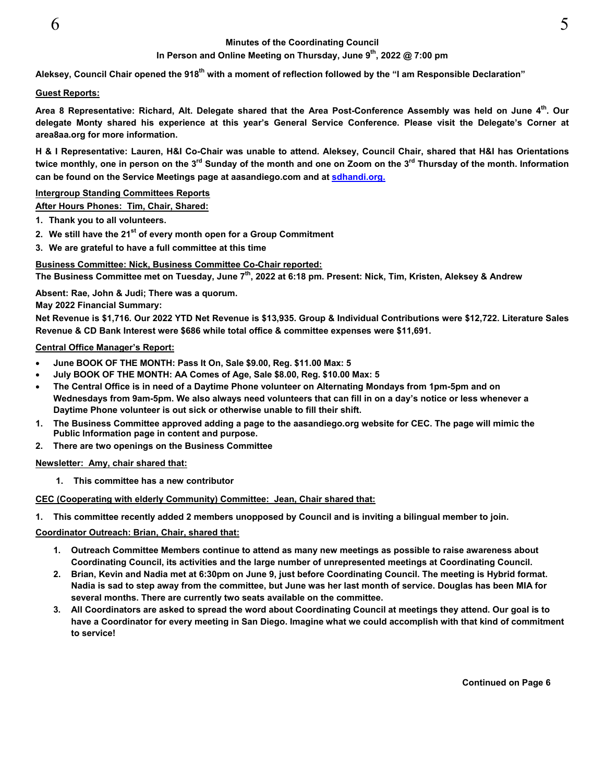# **Minutes of the Coordinating Council**

# In Person and Online Meeting on Thursday, June 9<sup>th</sup>, 2022 @ 7:00 pm

Aleksey, Council Chair opened the 918<sup>th</sup> with a moment of reflection followed by the "I am Responsible Declaration"

#### **Guest Reports:**

Area 8 Representative: Richard, Alt. Delegate shared that the Area Post-Conference Assembly was held on June 4<sup>th</sup>. Our **delegate Monty shared his experience at this year's General Service Conference. Please visit the Delegate's Corner at area8aa.org for more information.** 

**H & I Representative: Lauren, H&I Co-Chair was unable to attend. Aleksey, Council Chair, shared that H&I has Orientations**  twice monthly, one in person on the 3<sup>rd</sup> Sunday of the month and one on Zoom on the 3<sup>rd</sup> Thursday of the month. Information **can be found on the Service Meetings page at aasandiego.com and at sdhandi.org.** 

## **Intergroup Standing Committees Reports**

**After Hours Phones: Tim, Chair, Shared:** 

- **1. Thank you to all volunteers.**
- **2. We still have the 21st of every month open for a Group Commitment**
- **3. We are grateful to have a full committee at this time**

# **Business Committee: Nick, Business Committee Co-Chair reported:**

**The Business Committee met on Tuesday, June 7th, 2022 at 6:18 pm. Present: Nick, Tim, Kristen, Aleksey & Andrew** 

**Absent: Rae, John & Judi; There was a quorum.** 

**May 2022 Financial Summary:** 

**Net Revenue is \$1,716. Our 2022 YTD Net Revenue is \$13,935. Group & Individual Contributions were \$12,722. Literature Sales Revenue & CD Bank Interest were \$686 while total office & committee expenses were \$11,691.**

#### **Central Office Manager's Report:**

- **June BOOK OF THE MONTH: Pass It On, Sale \$9.00, Reg. \$11.00 Max: 5**
- **July BOOK OF THE MONTH: AA Comes of Age, Sale \$8.00, Reg. \$10.00 Max: 5**
- **The Central Office is in need of a Daytime Phone volunteer on Alternating Mondays from 1pm-5pm and on Wednesdays from 9am-5pm. We also always need volunteers that can fill in on a day's notice or less whenever a Daytime Phone volunteer is out sick or otherwise unable to fill their shift.**
- **1. The Business Committee approved adding a page to the aasandiego.org website for CEC. The page will mimic the Public Information page in content and purpose.**
- **2. There are two openings on the Business Committee**

#### **Newsletter: Amy, chair shared that:**

**1. This committee has a new contributor** 

# **CEC (Cooperating with elderly Community) Committee: Jean, Chair shared that:**

**1. This committee recently added 2 members unopposed by Council and is inviting a bilingual member to join.** 

# **Coordinator Outreach: Brian, Chair, shared that:**

- **1. Outreach Committee Members continue to attend as many new meetings as possible to raise awareness about Coordinating Council, its activities and the large number of unrepresented meetings at Coordinating Council.**
- **2. Brian, Kevin and Nadia met at 6:30pm on June 9, just before Coordinating Council. The meeting is Hybrid format. Nadia is sad to step away from the committee, but June was her last month of service. Douglas has been MIA for several months. There are currently two seats available on the committee.**
- **3. All Coordinators are asked to spread the word about Coordinating Council at meetings they attend. Our goal is to have a Coordinator for every meeting in San Diego. Imagine what we could accomplish with that kind of commitment to service!**

 **Continued on Page 6**